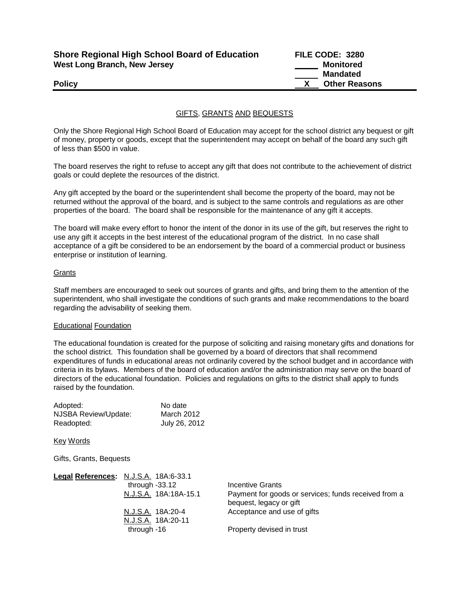| <b>Shore Regional High School Board of Education</b> |  |
|------------------------------------------------------|--|
| <b>West Long Branch, New Jersey</b>                  |  |

**Shore Regional High School Board of Education FILE CODE: 3280 Monitored Mandated Policy CONSERVING CONSERVANCE CONSERVANCE CONSERVANCE CONSERVANCE CONSERVANCE CONSERVANCE CONSERVANCE CONSERVANCE CONSERVANCE CONSERVANCE CONSERVANCE CONSERVANCE CONSERVANCE CONSERVANCE CONSERVANCE CONSERVANCE CONSERVAN** 

## GIFTS, GRANTS AND BEQUESTS

Only the Shore Regional High School Board of Education may accept for the school district any bequest or gift of money, property or goods, except that the superintendent may accept on behalf of the board any such gift of less than \$500 in value.

The board reserves the right to refuse to accept any gift that does not contribute to the achievement of district goals or could deplete the resources of the district.

Any gift accepted by the board or the superintendent shall become the property of the board, may not be returned without the approval of the board, and is subject to the same controls and regulations as are other properties of the board. The board shall be responsible for the maintenance of any gift it accepts.

The board will make every effort to honor the intent of the donor in its use of the gift, but reserves the right to use any gift it accepts in the best interest of the educational program of the district. In no case shall acceptance of a gift be considered to be an endorsement by the board of a commercial product or business enterprise or institution of learning.

### **Grants**

Staff members are encouraged to seek out sources of grants and gifts, and bring them to the attention of the superintendent, who shall investigate the conditions of such grants and make recommendations to the board regarding the advisability of seeking them.

#### Educational Foundation

The educational foundation is created for the purpose of soliciting and raising monetary gifts and donations for the school district. This foundation shall be governed by a board of directors that shall recommend expenditures of funds in educational areas not ordinarily covered by the school budget and in accordance with criteria in its bylaws. Members of the board of education and/or the administration may serve on the board of directors of the educational foundation. Policies and regulations on gifts to the district shall apply to funds raised by the foundation.

| Adopted:             | No date       |
|----------------------|---------------|
| NJSBA Review/Update: | March 2012    |
| Readopted:           | July 26, 2012 |

Key Words

Gifts, Grants, Bequests

| Legal References: N.J.S.A. 18A:6-33.1 |                                                      |
|---------------------------------------|------------------------------------------------------|
| through $-33.12$                      | Incentive Grants                                     |
| N.J.S.A. 18A:18A-15.1                 | Payment for goods or services; funds received from a |
|                                       | bequest, legacy or gift                              |
| N.J.S.A. 18A:20-4                     | Acceptance and use of gifts                          |
| N.J.S.A. 18A:20-11                    |                                                      |
| through -16                           | Property devised in trust                            |
|                                       |                                                      |